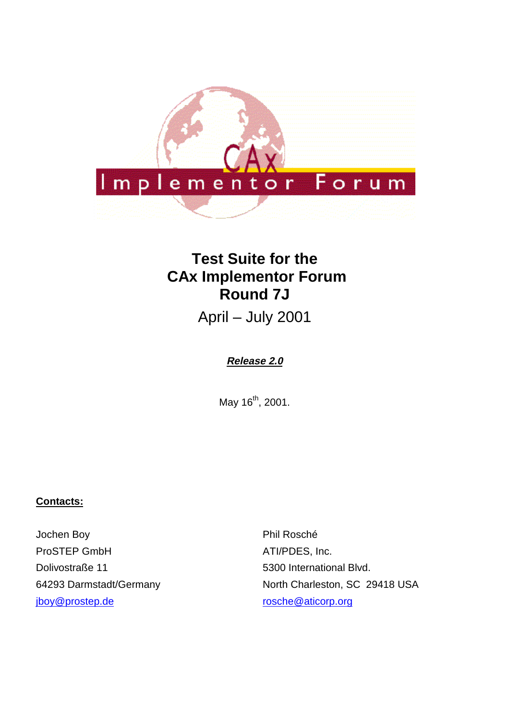

# **Test Suite for the CAx Implementor Forum Round 7J**

April – July 2001

# **Release 2.0**

May 16<sup>th</sup>, 2001.

### **Contacts:**

Jochen Boy ProSTEP GmbH Dolivostraße 11 64293 Darmstadt/Germany jboy@prostep.de

Phil Rosché ATI/PDES, Inc. 5300 International Blvd. North Charleston, SC 29418 USA rosche@aticorp.org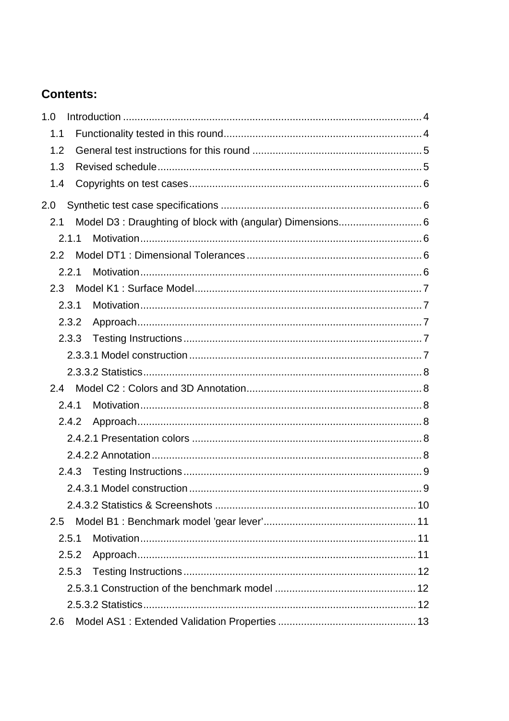# **Contents:**

| 1.0           |                                                            |
|---------------|------------------------------------------------------------|
| 1.1           |                                                            |
| 1.2           |                                                            |
| 1.3           |                                                            |
| 1.4           |                                                            |
| 2.0           |                                                            |
| 2.1           | Model D3 : Draughting of block with (angular) Dimensions 6 |
| 2.1.1         |                                                            |
| $2.2^{\circ}$ |                                                            |
| 2.2.1         |                                                            |
| 2.3           |                                                            |
| 2.3.1         |                                                            |
| 2.3.2         |                                                            |
| 2.3.3         |                                                            |
|               |                                                            |
|               |                                                            |
|               |                                                            |
| 2.4.1         |                                                            |
| 2.4.2         |                                                            |
|               |                                                            |
|               |                                                            |
|               |                                                            |
|               |                                                            |
|               |                                                            |
| 2.5           |                                                            |
| 2.5.1         |                                                            |
| 2.5.2         |                                                            |
| 2.5.3         |                                                            |
|               |                                                            |
|               |                                                            |
| 2.6           |                                                            |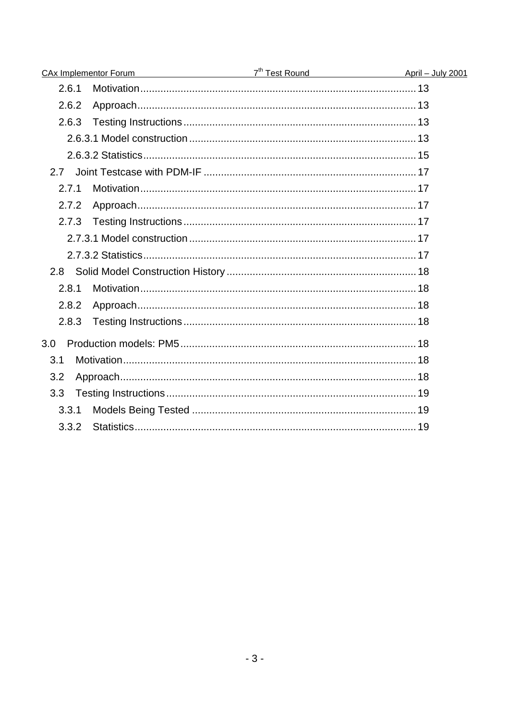| <b>CAx Implementor Forum</b> | April – July 2001 |  |
|------------------------------|-------------------|--|
| 2.6.1                        |                   |  |
| 2.6.2                        |                   |  |
| 2.6.3                        |                   |  |
|                              |                   |  |
|                              |                   |  |
| 2.7                          |                   |  |
| 2.7.1                        |                   |  |
| 2.7.2                        |                   |  |
| 2.7.3                        |                   |  |
|                              |                   |  |
|                              |                   |  |
|                              |                   |  |
| 2.8.1                        |                   |  |
| 2.8.2                        |                   |  |
| 2.8.3                        |                   |  |
| 3.0                          |                   |  |
| 3.1                          |                   |  |
| 3.2                          |                   |  |
| 3.3                          |                   |  |
| 3.3.1                        |                   |  |
| 3.3.2                        |                   |  |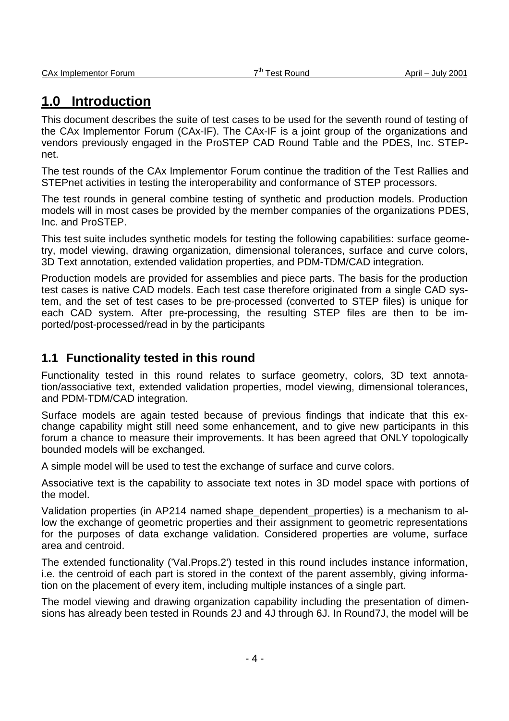# **1.0 Introduction**

This document describes the suite of test cases to be used for the seventh round of testing of the CAx Implementor Forum (CAx-IF). The CAx-IF is a joint group of the organizations and vendors previously engaged in the ProSTEP CAD Round Table and the PDES, Inc. STEPnet.

The test rounds of the CAx Implementor Forum continue the tradition of the Test Rallies and STEPnet activities in testing the interoperability and conformance of STEP processors.

The test rounds in general combine testing of synthetic and production models. Production models will in most cases be provided by the member companies of the organizations PDES, Inc. and ProSTEP.

This test suite includes synthetic models for testing the following capabilities: surface geometry, model viewing, drawing organization, dimensional tolerances, surface and curve colors, 3D Text annotation, extended validation properties, and PDM-TDM/CAD integration.

Production models are provided for assemblies and piece parts. The basis for the production test cases is native CAD models. Each test case therefore originated from a single CAD system, and the set of test cases to be pre-processed (converted to STEP files) is unique for each CAD system. After pre-processing, the resulting STEP files are then to be imported/post-processed/read in by the participants

# **1.1 Functionality tested in this round**

Functionality tested in this round relates to surface geometry, colors, 3D text annotation/associative text, extended validation properties, model viewing, dimensional tolerances, and PDM-TDM/CAD integration.

Surface models are again tested because of previous findings that indicate that this exchange capability might still need some enhancement, and to give new participants in this forum a chance to measure their improvements. It has been agreed that ONLY topologically bounded models will be exchanged.

A simple model will be used to test the exchange of surface and curve colors.

Associative text is the capability to associate text notes in 3D model space with portions of the model.

Validation properties (in AP214 named shape dependent properties) is a mechanism to allow the exchange of geometric properties and their assignment to geometric representations for the purposes of data exchange validation. Considered properties are volume, surface area and centroid.

The extended functionality ('Val.Props.2') tested in this round includes instance information, i.e. the centroid of each part is stored in the context of the parent assembly, giving information on the placement of every item, including multiple instances of a single part.

The model viewing and drawing organization capability including the presentation of dimensions has already been tested in Rounds 2J and 4J through 6J. In Round7J, the model will be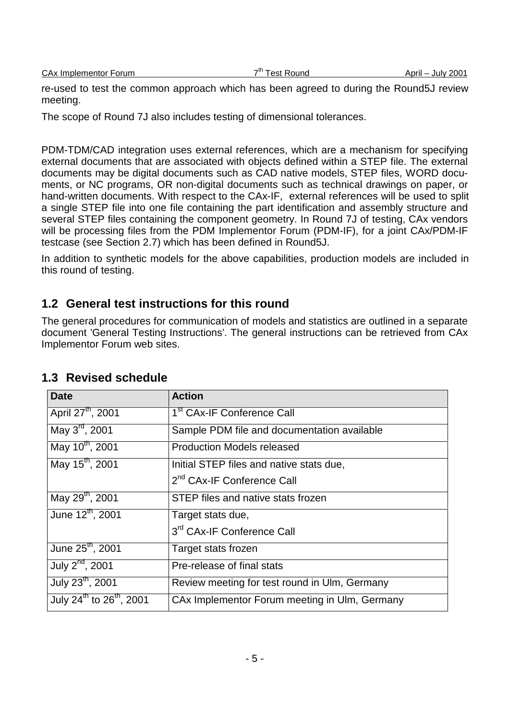|  | <b>CAx Implementor Forum</b> |  |
|--|------------------------------|--|
|  |                              |  |

re-used to test the common approach which has been agreed to during the Round5J review meeting.

The scope of Round 7J also includes testing of dimensional tolerances.

PDM-TDM/CAD integration uses external references, which are a mechanism for specifying external documents that are associated with objects defined within a STEP file. The external documents may be digital documents such as CAD native models, STEP files, WORD documents, or NC programs, OR non-digital documents such as technical drawings on paper, or hand-written documents. With respect to the CAx-IF, external references will be used to split a single STEP file into one file containing the part identification and assembly structure and several STEP files containing the component geometry. In Round 7J of testing, CAx vendors will be processing files from the PDM Implementor Forum (PDM-IF), for a joint CAx/PDM-IF testcase (see Section 2.7) which has been defined in Round5J.

In addition to synthetic models for the above capabilities, production models are included in this round of testing.

### **1.2 General test instructions for this round**

The general procedures for communication of models and statistics are outlined in a separate document 'General Testing Instructions'. The general instructions can be retrieved from CAx Implementor Forum web sites.

| <b>Date</b>                                      | <b>Action</b>                                 |
|--------------------------------------------------|-----------------------------------------------|
| April 27 <sup>th</sup> , 2001                    | 1 <sup>st</sup> CAx-IF Conference Call        |
| May $3^{\text{rd}}$ , 2001                       | Sample PDM file and documentation available   |
| May 10 <sup>th</sup> , 2001                      | <b>Production Models released</b>             |
| May 15 <sup>th</sup> , 2001                      | Initial STEP files and native stats due,      |
|                                                  | 2 <sup>nd</sup> CAx-IF Conference Call        |
| May 29 <sup>th</sup> , 2001                      | STEP files and native stats frozen            |
| June 12 <sup>th</sup> , 2001                     | Target stats due,                             |
|                                                  | 3rd CAx-IF Conference Call                    |
| June 25 <sup>th</sup> , 2001                     | Target stats frozen                           |
| July 2 <sup>nd</sup> , 2001                      | Pre-release of final stats                    |
| July 23 <sup>th</sup> , 2001                     | Review meeting for test round in Ulm, Germany |
| July 24 <sup>th</sup> to 26 <sup>th</sup> , 2001 | CAx Implementor Forum meeting in Ulm, Germany |

### **1.3 Revised schedule**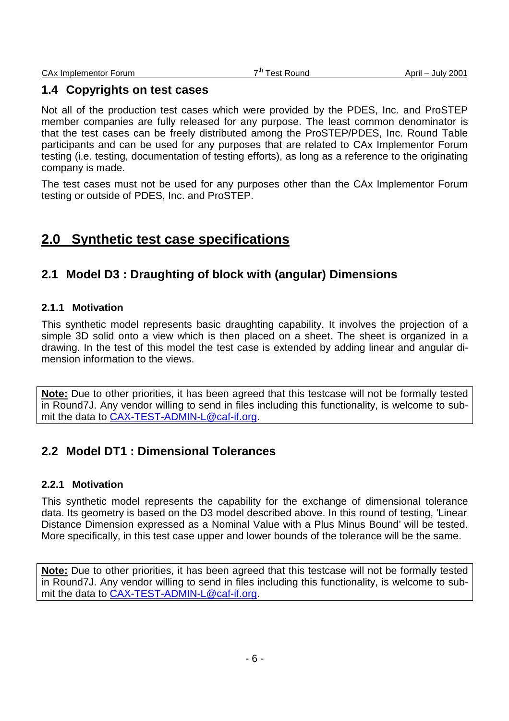### **1.4 Copyrights on test cases**

Not all of the production test cases which were provided by the PDES, Inc. and ProSTEP member companies are fully released for any purpose. The least common denominator is that the test cases can be freely distributed among the ProSTEP/PDES, Inc. Round Table participants and can be used for any purposes that are related to CAx Implementor Forum testing (i.e. testing, documentation of testing efforts), as long as a reference to the originating company is made.

The test cases must not be used for any purposes other than the CAx Implementor Forum testing or outside of PDES, Inc. and ProSTEP.

# **2.0 Synthetic test case specifications**

### **2.1 Model D3 : Draughting of block with (angular) Dimensions**

#### **2.1.1 Motivation**

This synthetic model represents basic draughting capability. It involves the projection of a simple 3D solid onto a view which is then placed on a sheet. The sheet is organized in a drawing. In the test of this model the test case is extended by adding linear and angular dimension information to the views.

**Note:** Due to other priorities, it has been agreed that this testcase will not be formally tested in Round7J. Any vendor willing to send in files including this functionality, is welcome to submit the data to CAX-TEST-ADMIN-L@caf-if.org.

### **2.2 Model DT1 : Dimensional Tolerances**

#### **2.2.1 Motivation**

This synthetic model represents the capability for the exchange of dimensional tolerance data. Its geometry is based on the D3 model described above. In this round of testing, 'Linear Distance Dimension expressed as a Nominal Value with a Plus Minus Bound' will be tested. More specifically, in this test case upper and lower bounds of the tolerance will be the same.

**Note:** Due to other priorities, it has been agreed that this testcase will not be formally tested in Round7J. Any vendor willing to send in files including this functionality, is welcome to submit the data to CAX-TEST-ADMIN-L@caf-if.org.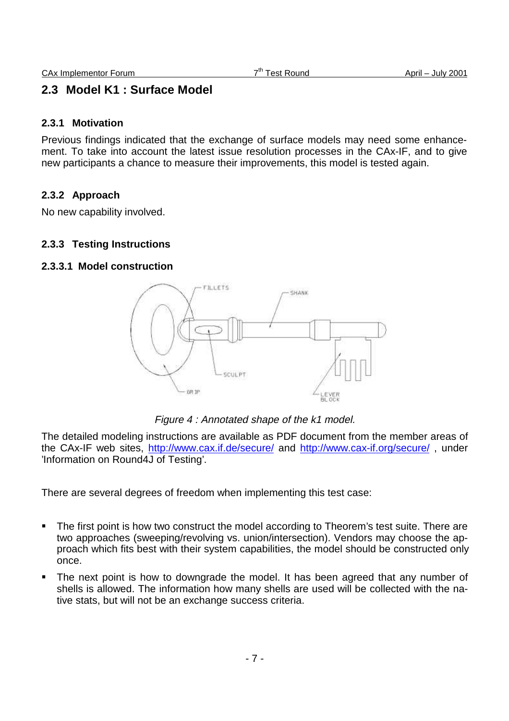### **2.3 Model K1 : Surface Model**

#### **2.3.1 Motivation**

Previous findings indicated that the exchange of surface models may need some enhancement. To take into account the latest issue resolution processes in the CAx-IF, and to give new participants a chance to measure their improvements, this model is tested again.

### **2.3.2 Approach**

No new capability involved.

#### **2.3.3 Testing Instructions**

#### **2.3.3.1 Model construction**



Figure 4 : Annotated shape of the k1 model.

The detailed modeling instructions are available as PDF document from the member areas of the CAx-IF web sites, http://www.cax.if.de/secure/ and http://www.cax-if.org/secure/ , under 'Information on Round4J of Testing'.

There are several degrees of freedom when implementing this test case:

- The first point is how two construct the model according to Theorem's test suite. There are two approaches (sweeping/revolving vs. union/intersection). Vendors may choose the approach which fits best with their system capabilities, the model should be constructed only once.
- The next point is how to downgrade the model. It has been agreed that any number of shells is allowed. The information how many shells are used will be collected with the native stats, but will not be an exchange success criteria.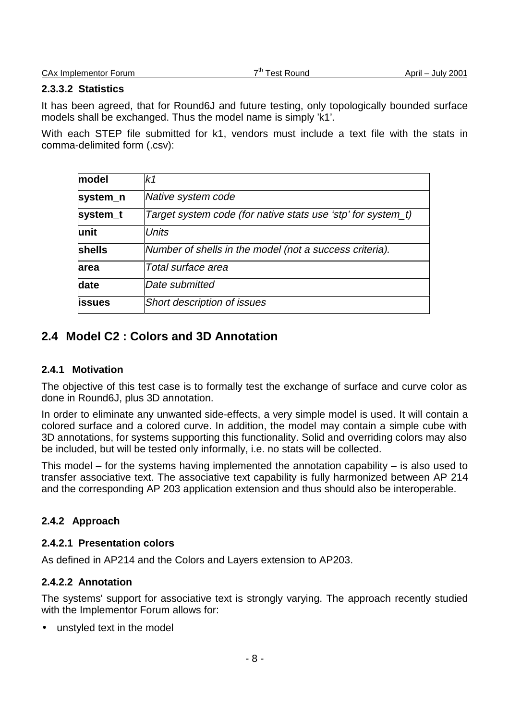CAx Implementor Forum  $7<sup>th</sup>$  Test Round April – July 2001

#### **2.3.3.2 Statistics**

It has been agreed, that for Round6J and future testing, only topologically bounded surface models shall be exchanged. Thus the model name is simply 'k1'.

With each STEP file submitted for k1, vendors must include a text file with the stats in comma-delimited form (.csv):

| model    | k1                                                           |
|----------|--------------------------------------------------------------|
| system_n | Native system code                                           |
| system_t | Target system code (for native stats use 'stp' for system_t) |
| unit     | Units                                                        |
| shells   | Number of shells in the model (not a success criteria).      |
| area     | Total surface area                                           |
| date     | lDate submitted                                              |
| issues   | <b>Short description of issues</b>                           |

# **2.4 Model C2 : Colors and 3D Annotation**

### **2.4.1 Motivation**

The objective of this test case is to formally test the exchange of surface and curve color as done in Round6J, plus 3D annotation.

In order to eliminate any unwanted side-effects, a very simple model is used. It will contain a colored surface and a colored curve. In addition, the model may contain a simple cube with 3D annotations, for systems supporting this functionality. Solid and overriding colors may also be included, but will be tested only informally, i.e. no stats will be collected.

This model – for the systems having implemented the annotation capability – is also used to transfer associative text. The associative text capability is fully harmonized between AP 214 and the corresponding AP 203 application extension and thus should also be interoperable.

### **2.4.2 Approach**

### **2.4.2.1 Presentation colors**

As defined in AP214 and the Colors and Layers extension to AP203.

### **2.4.2.2 Annotation**

The systems' support for associative text is strongly varying. The approach recently studied with the Implementor Forum allows for:

• unstyled text in the model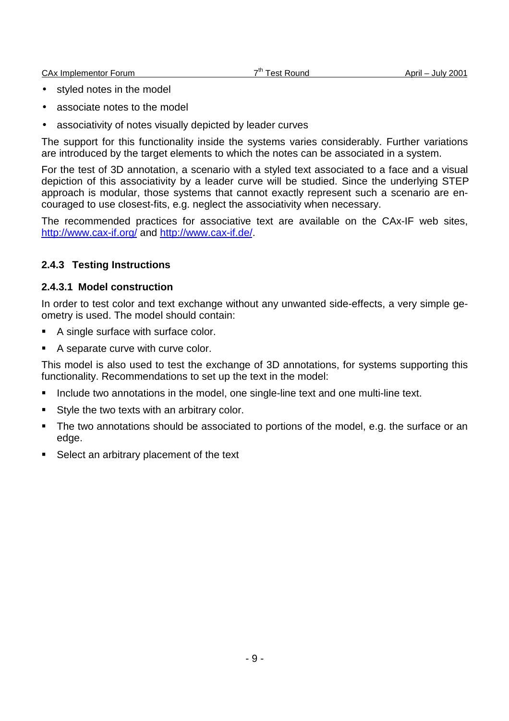CAx Implementor Forum  $7<sup>th</sup>$  Test Round April – July 2001

- styled notes in the model
- associate notes to the model
- associativity of notes visually depicted by leader curves

The support for this functionality inside the systems varies considerably. Further variations are introduced by the target elements to which the notes can be associated in a system.

For the test of 3D annotation, a scenario with a styled text associated to a face and a visual depiction of this associativity by a leader curve will be studied. Since the underlying STEP approach is modular, those systems that cannot exactly represent such a scenario are encouraged to use closest-fits, e.g. neglect the associativity when necessary.

The recommended practices for associative text are available on the CAx-IF web sites, http://www.cax-if.org/ and http://www.cax-if.de/.

### **2.4.3 Testing Instructions**

#### **2.4.3.1 Model construction**

In order to test color and text exchange without any unwanted side-effects, a very simple geometry is used. The model should contain:

- A single surface with surface color.
- A separate curve with curve color.

This model is also used to test the exchange of 3D annotations, for systems supporting this functionality. Recommendations to set up the text in the model:

- Include two annotations in the model, one single-line text and one multi-line text.
- Style the two texts with an arbitrary color.
- The two annotations should be associated to portions of the model, e.g. the surface or an edge.
- Select an arbitrary placement of the text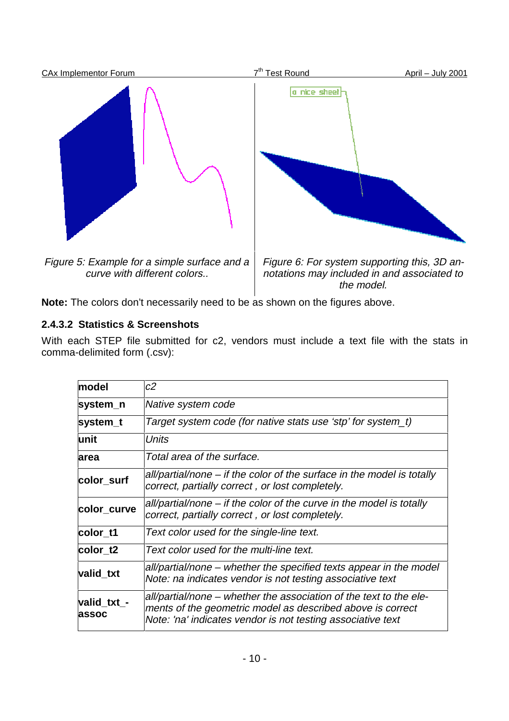

**Note:** The colors don't necessarily need to be as shown on the figures above.

### **2.4.3.2 Statistics & Screenshots**

With each STEP file submitted for c2, vendors must include a text file with the stats in comma-delimited form (.csv):

| model                | c2                                                                                                                                                                                              |
|----------------------|-------------------------------------------------------------------------------------------------------------------------------------------------------------------------------------------------|
| system_n             | Native system code                                                                                                                                                                              |
| system_t             | Target system code (for native stats use 'stp' for system_t)                                                                                                                                    |
| lunit                | Units                                                                                                                                                                                           |
| area                 | Total area of the surface.                                                                                                                                                                      |
| color_surf           | all/partial/none – if the color of the surface in the model is totally<br>correct, partially correct, or lost completely.                                                                       |
| color_curve          | all/partial/none – if the color of the curve in the model is totally<br>correct, partially correct, or lost completely.                                                                         |
| color t1             | Text color used for the single-line text.                                                                                                                                                       |
| color t2             | Text color used for the multi-line text.                                                                                                                                                        |
| valid_txt            | all/partial/none – whether the specified texts appear in the model<br>Note: na indicates vendor is not testing associative text                                                                 |
| valid_txt_-<br>assoc | all/partial/none – whether the association of the text to the ele-<br>ments of the geometric model as described above is correct<br>Note: 'na' indicates vendor is not testing associative text |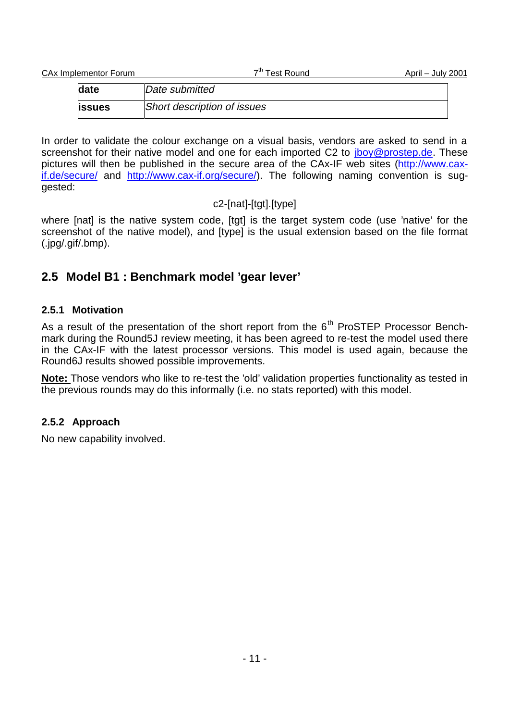| CAx Implementor Forum | 7 <sup>th</sup> Test Round  | April – July 2001 |  |
|-----------------------|-----------------------------|-------------------|--|
| date                  | Date submitted              |                   |  |
| <b>lissues</b>        | Short description of issues |                   |  |

In order to validate the colour exchange on a visual basis, vendors are asked to send in a screenshot for their native model and one for each imported C2 to *jboy@prostep.de*. These pictures will then be published in the secure area of the CAx-IF web sites (http://www.caxif.de/secure/ and http://www.cax-if.org/secure/). The following naming convention is suggested:

### c2-[nat]-[tgt].[type]

where [nat] is the native system code, [tgt] is the target system code (use 'native' for the screenshot of the native model), and [type] is the usual extension based on the file format (.jpg/.gif/.bmp).

# **2.5 Model B1 : Benchmark model 'gear lever'**

### **2.5.1 Motivation**

As a result of the presentation of the short report from the  $6<sup>th</sup>$  ProSTEP Processor Benchmark during the Round5J review meeting, it has been agreed to re-test the model used there in the CAx-IF with the latest processor versions. This model is used again, because the Round6J results showed possible improvements.

**Note:** Those vendors who like to re-test the 'old' validation properties functionality as tested in the previous rounds may do this informally (i.e. no stats reported) with this model.

### **2.5.2 Approach**

No new capability involved.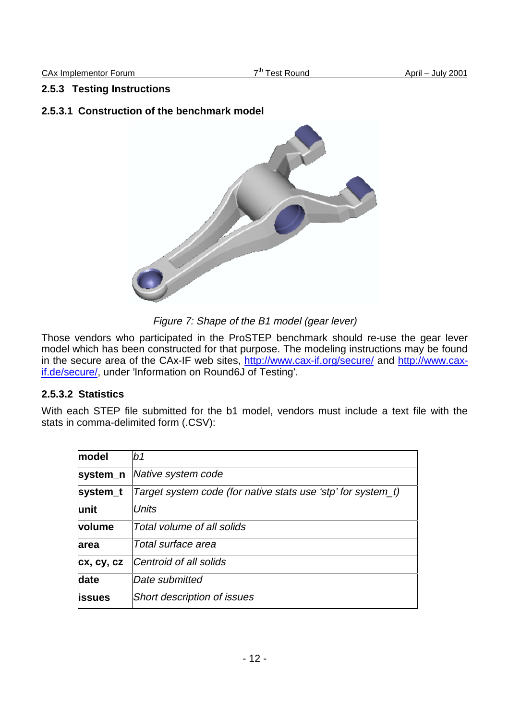#### **2.5.3 Testing Instructions**

#### **2.5.3.1 Construction of the benchmark model**



Figure 7: Shape of the B1 model (gear lever)

Those vendors who participated in the ProSTEP benchmark should re-use the gear lever model which has been constructed for that purpose. The modeling instructions may be found in the secure area of the CAx-IF web sites, http://www.cax-if.org/secure/ and http://www.caxif.de/secure/, under 'Information on Round6J of Testing'.

#### **2.5.3.2 Statistics**

With each STEP file submitted for the b1 model, vendors must include a text file with the stats in comma-delimited form (.CSV):

| model         | b1                                                           |
|---------------|--------------------------------------------------------------|
| system_n      | Native system code                                           |
| system t      | Target system code (for native stats use 'stp' for system_t) |
| lunit         | <b>Units</b>                                                 |
| <b>volume</b> | Total volume of all solids                                   |
| area          | Total surface area                                           |
| cx, cy, cz    | Centroid of all solids                                       |
| date          | Date submitted                                               |
| lissues       | <b>Short description of issues</b>                           |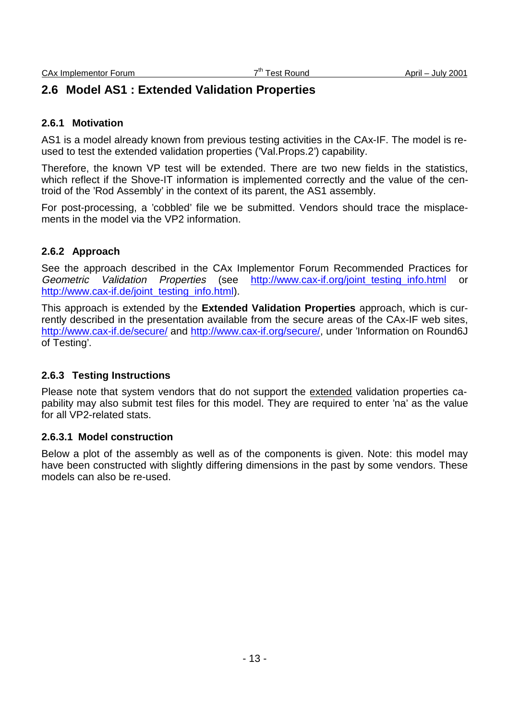### **2.6 Model AS1 : Extended Validation Properties**

#### **2.6.1 Motivation**

AS1 is a model already known from previous testing activities in the CAx-IF. The model is reused to test the extended validation properties ('Val.Props.2') capability.

Therefore, the known VP test will be extended. There are two new fields in the statistics, which reflect if the Shove-IT information is implemented correctly and the value of the centroid of the 'Rod Assembly' in the context of its parent, the AS1 assembly.

For post-processing, a 'cobbled' file we be submitted. Vendors should trace the misplacements in the model via the VP2 information.

#### **2.6.2 Approach**

See the approach described in the CAx Implementor Forum Recommended Practices for Geometric Validation Properties (see http://www.cax-if.org/joint\_testing\_info.html or http://www.cax-if.de/joint\_testing\_info.html).

This approach is extended by the **Extended Validation Properties** approach, which is currently described in the presentation available from the secure areas of the CAx-IF web sites, http://www.cax-if.de/secure/ and http://www.cax-if.org/secure/, under 'Information on Round6J of Testing'.

#### **2.6.3 Testing Instructions**

Please note that system vendors that do not support the extended validation properties capability may also submit test files for this model. They are required to enter 'na' as the value for all VP2-related stats.

#### **2.6.3.1 Model construction**

Below a plot of the assembly as well as of the components is given. Note: this model may have been constructed with slightly differing dimensions in the past by some vendors. These models can also be re-used.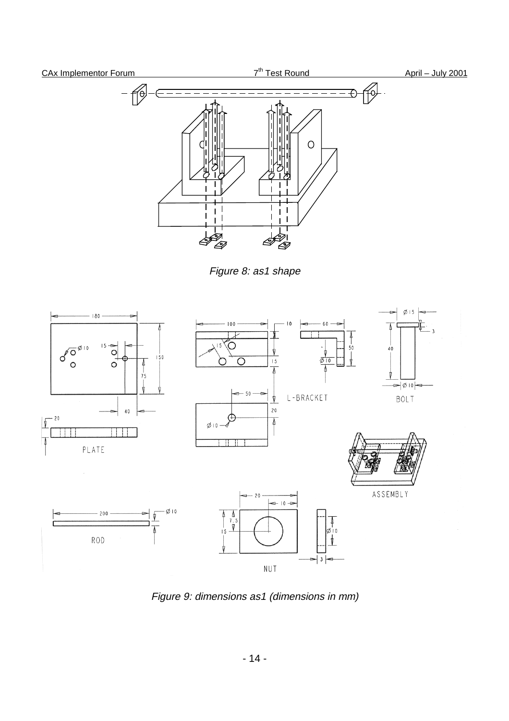

Figure 8: as1 shape



Figure 9: dimensions as1 (dimensions in mm)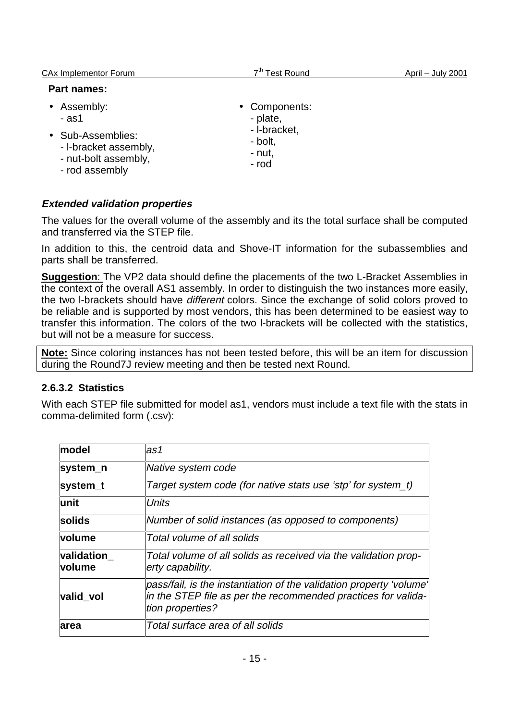| <b>CAx Implementor Forum</b>                                                                                   | <b>Test Round</b>                                                       | April - July 2001 |
|----------------------------------------------------------------------------------------------------------------|-------------------------------------------------------------------------|-------------------|
| <b>Part names:</b>                                                                                             |                                                                         |                   |
| • Assembly:<br>$-$ as1<br>• Sub-Assemblies:<br>- I-bracket assembly,<br>- nut-bolt assembly,<br>- rod assembly | • Components:<br>- plate,<br>- I-bracket,<br>- bolt,<br>- nut,<br>- rod |                   |

### **Extended validation properties**

The values for the overall volume of the assembly and its the total surface shall be computed and transferred via the STEP file.

In addition to this, the centroid data and Shove-IT information for the subassemblies and parts shall be transferred.

**Suggestion**: The VP2 data should define the placements of the two L-Bracket Assemblies in the context of the overall AS1 assembly. In order to distinguish the two instances more easily, the two l-brackets should have different colors. Since the exchange of solid colors proved to be reliable and is supported by most vendors, this has been determined to be easiest way to transfer this information. The colors of the two l-brackets will be collected with the statistics, but will not be a measure for success.

**Note:** Since coloring instances has not been tested before, this will be an item for discussion during the Round7J review meeting and then be tested next Round.

### **2.6.3.2 Statistics**

With each STEP file submitted for model as1, vendors must include a text file with the stats in comma-delimited form (.csv):

| model                | as1                                                                                                                                                      |
|----------------------|----------------------------------------------------------------------------------------------------------------------------------------------------------|
| system_n             | Native system code                                                                                                                                       |
| system_t             | Target system code (for native stats use 'stp' for system_t)                                                                                             |
| lunit                | Units                                                                                                                                                    |
| solids               | Number of solid instances (as opposed to components)                                                                                                     |
| volume               | Total volume of all solids                                                                                                                               |
| validation<br>volume | Total volume of all solids as received via the validation prop-<br>erty capability.                                                                      |
| valid vol            | pass/fail, is the instantiation of the validation property 'volume'<br>in the STEP file as per the recommended practices for valida-<br>tion properties? |
| area                 | Total surface area of all solids                                                                                                                         |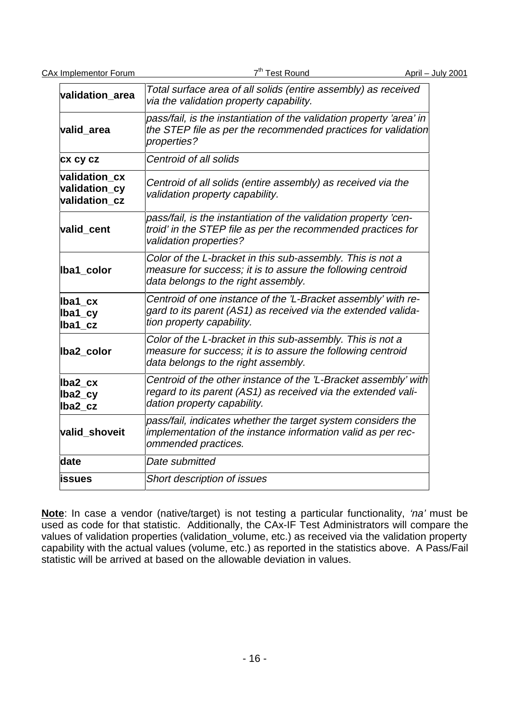CAx Implementor Forum  $7<sup>th</sup>$  Test Round April – July 2001 **validation** area Total surface area of all solids (entire assembly) as received via the validation property capability. **valid\_area** pass/fail, is the instantiation of the validation property 'area' in the STEP file as per the recommended practices for validation properties? **cx cy cz** Centroid of all solids **validation\_cx validation\_cy validation\_cz** Centroid of all solids (entire assembly) as received via the validation property capability. **valid\_cent** pass/fail, is the instantiation of the validation property 'centroid' in the STEP file as per the recommended practices for validation properties? **lba1\_color** Color of the L-bracket in this sub-assembly. This is not a measure for success; it is to assure the following centroid data belongs to the right assembly. **lba1\_cx lba1\_cy lba1\_cz** Centroid of one instance of the 'L-Bracket assembly' with regard to its parent (AS1) as received via the extended validation property capability. **lba2\_color** Color of the L-bracket in this sub-assembly. This is not a measure for success; it is to assure the following centroid data belongs to the right assembly. **lba2\_cx lba2\_cy lba2\_cz** Centroid of the other instance of the 'L-Bracket assembly' with regard to its parent (AS1) as received via the extended validation property capability. **valid\_shoveit** pass/fail, indicates whether the target system considers the implementation of the instance information valid as per recommended practices. **date** Date submitted **issues** Short description of issues

**Note**: In case a vendor (native/target) is not testing a particular functionality, 'na' must be used as code for that statistic. Additionally, the CAx-IF Test Administrators will compare the values of validation properties (validation\_volume, etc.) as received via the validation property capability with the actual values (volume, etc.) as reported in the statistics above. A Pass/Fail statistic will be arrived at based on the allowable deviation in values.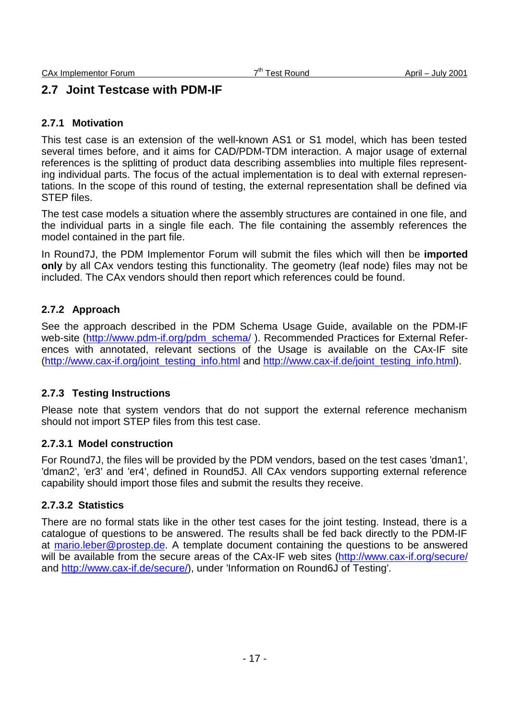### **2.7 Joint Testcase with PDM-IF**

#### **2.7.1 Motivation**

This test case is an extension of the well-known AS1 or S1 model, which has been tested several times before, and it aims for CAD/PDM-TDM interaction. A major usage of external references is the splitting of product data describing assemblies into multiple files representing individual parts. The focus of the actual implementation is to deal with external representations. In the scope of this round of testing, the external representation shall be defined via STEP files.

The test case models a situation where the assembly structures are contained in one file, and the individual parts in a single file each. The file containing the assembly references the model contained in the part file.

In Round7J, the PDM Implementor Forum will submit the files which will then be **imported only** by all CAx vendors testing this functionality. The geometry (leaf node) files may not be included. The CAx vendors should then report which references could be found.

### **2.7.2 Approach**

See the approach described in the PDM Schema Usage Guide, available on the PDM-IF web-site (http://www.pdm-if.org/pdm\_schema/). Recommended Practices for External References with annotated, relevant sections of the Usage is available on the CAx-IF site (http://www.cax-if.org/joint\_testing\_info.html and http://www.cax-if.de/joint\_testing\_info.html).

### **2.7.3 Testing Instructions**

Please note that system vendors that do not support the external reference mechanism should not import STEP files from this test case.

### **2.7.3.1 Model construction**

For Round7J, the files will be provided by the PDM vendors, based on the test cases 'dman1', 'dman2', 'er3' and 'er4', defined in Round5J. All CAx vendors supporting external reference capability should import those files and submit the results they receive.

#### **2.7.3.2 Statistics**

There are no formal stats like in the other test cases for the joint testing. Instead, there is a catalogue of questions to be answered. The results shall be fed back directly to the PDM-IF at mario.leber@prostep.de. A template document containing the questions to be answered will be available from the secure areas of the CAx-IF web sites (http://www.cax-if.org/secure/ and http://www.cax-if.de/secure/), under 'Information on Round6J of Testing'.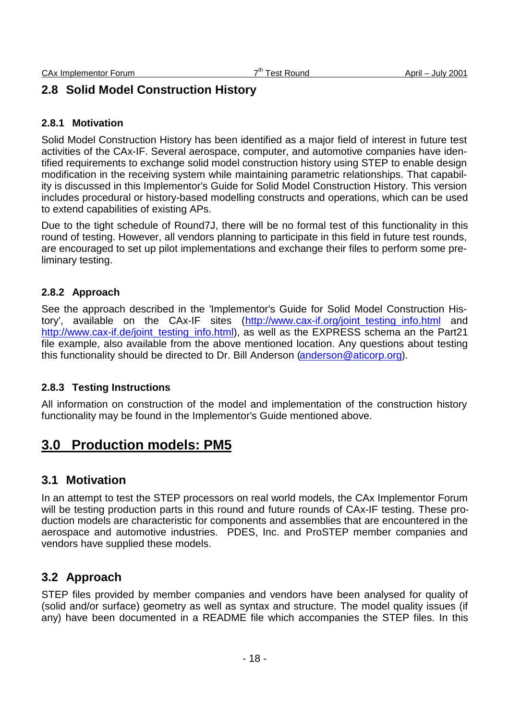# **2.8 Solid Model Construction History**

### **2.8.1 Motivation**

Solid Model Construction History has been identified as a major field of interest in future test activities of the CAx-IF. Several aerospace, computer, and automotive companies have identified requirements to exchange solid model construction history using STEP to enable design modification in the receiving system while maintaining parametric relationships. That capability is discussed in this Implementor's Guide for Solid Model Construction History. This version includes procedural or history-based modelling constructs and operations, which can be used to extend capabilities of existing APs.

Due to the tight schedule of Round7J, there will be no formal test of this functionality in this round of testing. However, all vendors planning to participate in this field in future test rounds, are encouraged to set up pilot implementations and exchange their files to perform some preliminary testing.

### **2.8.2 Approach**

See the approach described in the 'Implementor's Guide for Solid Model Construction History', available on the CAx-IF sites (http://www.cax-if.org/joint\_testing\_info.html and http://www.cax-if.de/joint\_testing\_info.html), as well as the EXPRESS schema an the Part21 file example, also available from the above mentioned location. Any questions about testing this functionality should be directed to Dr. Bill Anderson (anderson@aticorp.org).

### **2.8.3 Testing Instructions**

All information on construction of the model and implementation of the construction history functionality may be found in the Implementor's Guide mentioned above.

# **3.0 Production models: PM5**

### **3.1 Motivation**

In an attempt to test the STEP processors on real world models, the CAx Implementor Forum will be testing production parts in this round and future rounds of CAx-IF testing. These production models are characteristic for components and assemblies that are encountered in the aerospace and automotive industries. PDES, Inc. and ProSTEP member companies and vendors have supplied these models.

### **3.2 Approach**

STEP files provided by member companies and vendors have been analysed for quality of (solid and/or surface) geometry as well as syntax and structure. The model quality issues (if any) have been documented in a README file which accompanies the STEP files. In this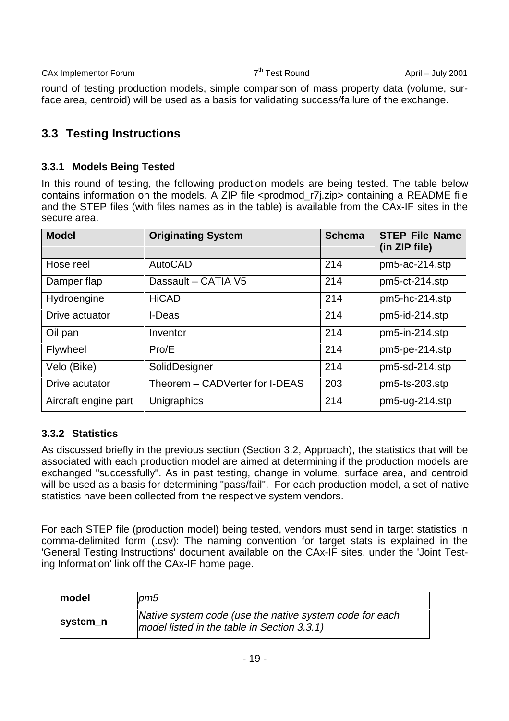|  | CAx Implementor Forum |  |
|--|-----------------------|--|
|  |                       |  |

round of testing production models, simple comparison of mass property data (volume, surface area, centroid) will be used as a basis for validating success/failure of the exchange.

### **3.3 Testing Instructions**

#### **3.3.1 Models Being Tested**

In this round of testing, the following production models are being tested. The table below contains information on the models. A ZIP file <prodmod\_r7j.zip> containing a README file and the STEP files (with files names as in the table) is available from the CAx-IF sites in the secure area.

| <b>Model</b>         | <b>Originating System</b>      | <b>Schema</b> | <b>STEP File Name</b><br>(in ZIP file) |
|----------------------|--------------------------------|---------------|----------------------------------------|
| Hose reel            | AutoCAD                        | 214           | pm5-ac-214.stp                         |
| Damper flap          | Dassault - CATIA V5            | 214           | pm5-ct-214.stp                         |
| Hydroengine          | <b>HiCAD</b>                   | 214           | pm5-hc-214.stp                         |
| Drive actuator       | I-Deas                         | 214           | pm5-id-214.stp                         |
| Oil pan              | Inventor                       | 214           | pm5-in-214.stp                         |
| <b>Flywheel</b>      | Pro/E                          | 214           | pm5-pe-214.stp                         |
| Velo (Bike)          | SolidDesigner                  | 214           | pm5-sd-214.stp                         |
| Drive acutator       | Theorem – CADVerter for I-DEAS | 203           | $pm5$ -ts-203.stp                      |
| Aircraft engine part | Unigraphics                    | 214           | pm5-ug-214.stp                         |

### **3.3.2 Statistics**

As discussed briefly in the previous section (Section 3.2, Approach), the statistics that will be associated with each production model are aimed at determining if the production models are exchanged "successfully". As in past testing, change in volume, surface area, and centroid will be used as a basis for determining "pass/fail". For each production model, a set of native statistics have been collected from the respective system vendors.

For each STEP file (production model) being tested, vendors must send in target statistics in comma-delimited form (.csv): The naming convention for target stats is explained in the 'General Testing Instructions' document available on the CAx-IF sites, under the 'Joint Testing Information' link off the CAx-IF home page.

| model    | pm5                                                                                                    |
|----------|--------------------------------------------------------------------------------------------------------|
| system_n | Native system code (use the native system code for each<br>model listed in the table in Section 3.3.1) |